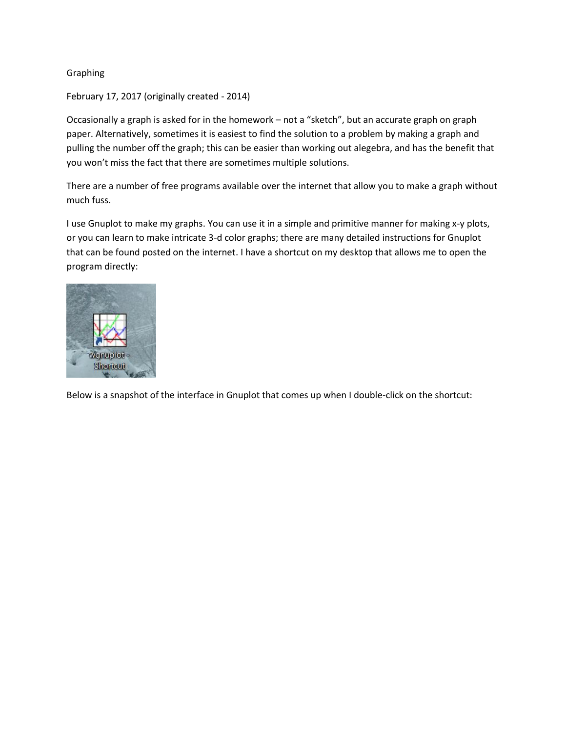## Graphing

February 17, 2017 (originally created - 2014)

Occasionally a graph is asked for in the homework – not a "sketch", but an accurate graph on graph paper. Alternatively, sometimes it is easiest to find the solution to a problem by making a graph and pulling the number off the graph; this can be easier than working out alegebra, and has the benefit that you won't miss the fact that there are sometimes multiple solutions.

There are a number of free programs available over the internet that allow you to make a graph without much fuss.

I use Gnuplot to make my graphs. You can use it in a simple and primitive manner for making x-y plots, or you can learn to make intricate 3-d color graphs; there are many detailed instructions for Gnuplot that can be found posted on the internet. I have a shortcut on my desktop that allows me to open the program directly:



Below is a snapshot of the interface in Gnuplot that comes up when I double-click on the shortcut: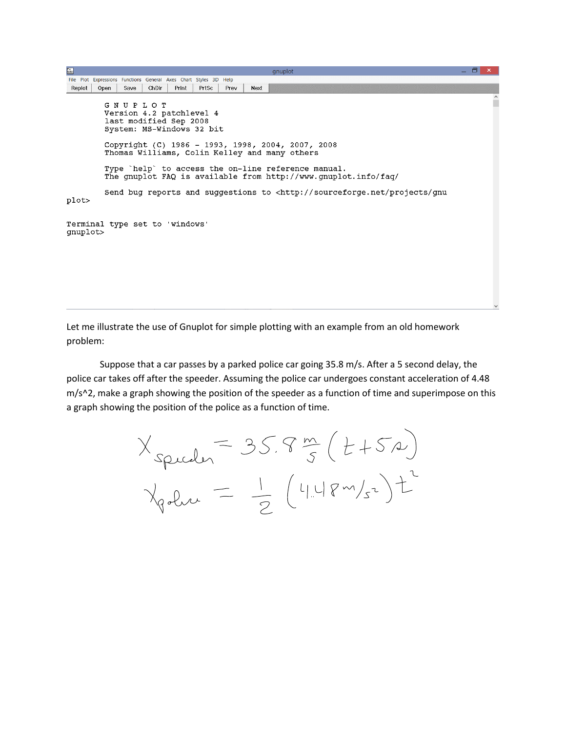| $\frac{1}{\ln\ln\left(1\right)}$ |                                                                                                  |       |       |       |      |      | gnuplot                                                                                                                                                                                                                     | ΘI | −×. |
|----------------------------------|--------------------------------------------------------------------------------------------------|-------|-------|-------|------|------|-----------------------------------------------------------------------------------------------------------------------------------------------------------------------------------------------------------------------------|----|-----|
|                                  | File Plot Expressions Functions General Axes Chart Styles 3D Help                                |       |       |       |      |      |                                                                                                                                                                                                                             |    |     |
| Replot                           | Save<br>Open                                                                                     | ChDir | Print | PrtSc | Prev | Next |                                                                                                                                                                                                                             |    |     |
|                                  | G N U P L O T<br>Version 4.2 patchlevel 4<br>last modified Sep 2008<br>System: MS-Windows 32 bit |       |       |       |      |      | Copyright (C) 1986 - 1993, 1998, 2004, 2007, 2008<br>Thomas Williams, Colin Kelley and many others<br>Type `help` to access the on-line reference manual.<br>The qnuplot FAQ is available from http://www.qnuplot.info/faq/ |    |     |
| plot>                            | Send bug reports and suggestions to <http: gnu<="" projects="" sourceforge.net="" td=""></http:> |       |       |       |      |      |                                                                                                                                                                                                                             |    |     |
| qnuplot>                         | Terminal type set to 'windows'                                                                   |       |       |       |      |      |                                                                                                                                                                                                                             |    |     |

Let me illustrate the use of Gnuplot for simple plotting with an example from an old homework problem:

Suppose that a car passes by a parked police car going 35.8 m/s. After a 5 second delay, the police car takes off after the speeder. Assuming the police car undergoes constant acceleration of 4.48 m/s^2, make a graph showing the position of the speeder as a function of time and superimpose on this a graph showing the position of the police as a function of time.

$$
X_{spuder} = 35.8 \frac{m}{s} (t+5a)
$$
  
\n $X_{gelur} = \frac{1}{2} (4.48 m/s^{2})t^{2}$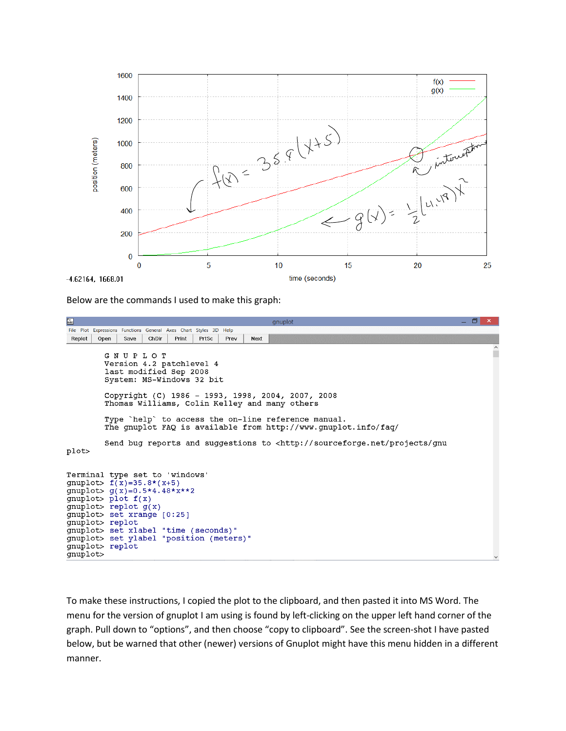

Below are the commands I used to make this graph:

```
\frac{\partial \mathbf{r}}{\partial \mathbf{r}}σ
File Plot Expressions Functions General Axes Chart Styles 3D Help
Replot | Open |
             Save ChDir
                       Print PrtSc Prev
                                           Next
        GNUPLOT
        Version 4.2 patchlevel 4
         last modified Sep 2008
         System: MS-Windows 32 bit
        Copyright (C) 1986 - 1993, 1998, 2004, 2007, 2008
        Thomas Williams, Colin Kelley and many others
         Type `help` to access the on-line reference manual.
        The gnuplot FAQ is available from http://www.gnuplot.info/faq/
         Send bug reports and suggestions to <http://sourceforge.net/projects/gnu
plot>
Terminal type set to 'windows'
gnuplot> f(x)=35.8*(x+5)gnuplot> g(x)=0.5*4.48*x**2gnuplot> plot f(x)gnuplot> replot g(x)gnuplot> set xrange [0:25]
gnuplot> replot
gnuplot> set xlabel "time (seconds)"
gnuplot> set ylabel "position (meters)"
gnuplot> replot
gnuplot>
```
To make these instructions, I copied the plot to the clipboard, and then pasted it into MS Word. The menu for the version of gnuplot I am using is found by left-clicking on the upper left hand corner of the graph. Pull down to "options", and then choose "copy to clipboard". See the screen-shot I have pasted below, but be warned that other (newer) versions of Gnuplot might have this menu hidden in a different manner.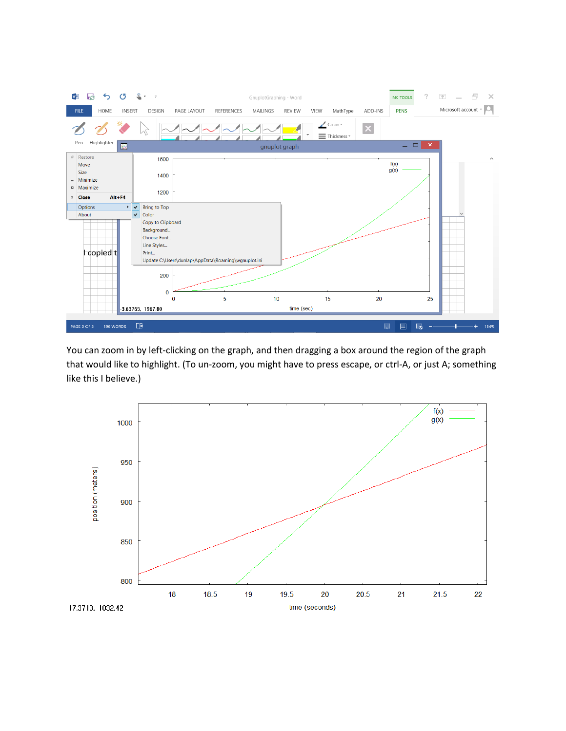

You can zoom in by left-clicking on the graph, and then dragging a box around the region of the graph that would like to highlight. (To un-zoom, you might have to press escape, or ctrl-A, or just A; something like this I believe.)